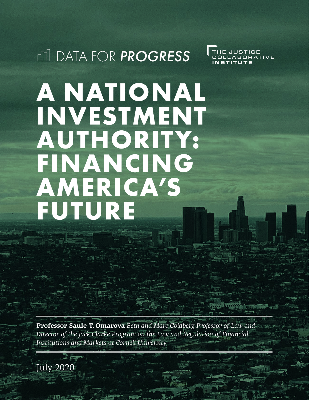**ILL DATA FOR PROGRESS** 

THE JUSTICE<br>COLLABORATIVE

# **A NATIONAL INVESTMENT AUTHORITY: FINANCING AMERICA'S FUTURE**

**Professor Saule T. Omarova** *Beth and Marc Goldberg Professor of Law and Director of the Jack Clarke Program on the Law and Regulation of Financial Institutions and Markets at Cornell University*

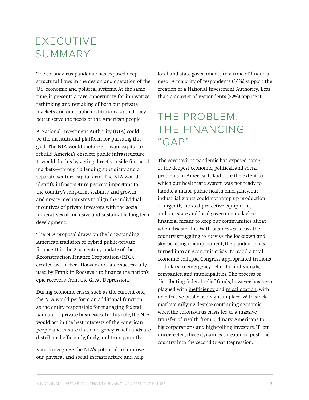### EXECUTIVE SUMMARY

The coronavirus pandemic has exposed deep structural flaws in the design and operation of the U.S. economic and political systems. At the same time, it presents a rare opportunity for innovative rethinking and remaking of both our private markets and our public institutions, so that they better serve the needs of the American people.

A [National Investment Authority](https://papers.ssrn.com/sol3/papers.cfm?abstract_id=3566462) [\(NIA\)](https://papers.ssrn.com/sol3/papers.cfm?abstract_id=2939309) could be the institutional platform for pursuing this goal. The NIA would mobilize private capital to rebuild America's obsolete public infrastructure. It would do this by acting directly inside financial markets—through a lending subsidiary and a separate venture capital arm. The NIA would identify infrastructure projects important to the country's long-term stability and growth, and create mechanisms to align the individual incentives of private investors with the social imperatives of inclusive and sustainable long-term development.

The [NIA proposal](https://papers.ssrn.com/sol3/papers.cfm?abstract_id=3125533) draws on the long-standing American tradition of hybrid public-private finance. It is the 21st-century update of the Reconstruction Finance Corporation (RFC), created by Herbert Hoover and later successfully used by Franklin Roosevelt to finance the nation's epic recovery from the Great Depression.

During economic crises, such as the current one, the NIA would perform an additional function as the entity responsible for managing federal bailouts of private businesses. In this role, the NIA would act in the best interests of the American people and ensure that emergency relief funds are distributed efficiently, fairly, and transparently.

Voters recognize the NIA's potential to improve our physical and social infrastructure and help

local and state governments in a time of financial need. A majority of respondents (54%) support the creation of a National Investment Authority. Less than a quarter of respondents (22%) oppose it.

#### THE PROBLEM: THE FINANCING  $"GAP"$

The coronavirus pandemic has exposed some of the deepest economic, political, and social problems in America. It laid bare the extent to which our healthcare system was not ready to handle a major public health emergency, our industrial giants could not ramp up production of urgently needed protective equipment, and our state and local governments lacked financial means to keep our communities afloat when disaster hit. With businesses across the country struggling to survive the lockdown and [skyrocketing unemployment](https://www.usatoday.com/story/money/2020/06/11/jobless-claims-report-another-million-file-unemployment-coronavirus/5338163002/), the pandemic has turned into a[n economic crisis](https://blogs.imf.org/2020/04/14/the-great-lockdown-worst-economic-downturn-since-the-great-depression/). To avoid a total economic collapse, Congress appropriated trillions of dollars in emergency relief for individuals, companies, and municipalities. The process of distributing federal relief funds, however, has been plagued wit[h inefficiency](https://www.ft.com/content/f33e5b29-c666-4a72-a0a1-a54cea2a7b1f) an[d misallocation,](https://www.bloomberg.com/news/articles/2020-04-14/hedge-fund-managers-are-claiming-bailouts-as-small-businesses?sref=gflekrOm) with no effectiv[e public oversight](https://www.nytimes.com/2020/04/16/opinion/coronavirus-oversight-congress-trillions.html) in place. With stock markets rallying despite continuing economic woes, the coronavirus crisis led to a massive [transfer of wealth](https://www.cnbc.com/2020/06/04/cramer-the-pandemic-led-to-a-great-wealth-transfer.html) from ordinary Americans to big corporations and high-rolling investors. If left uncorrected, these dynamics threaten to push the country into the secon[d Great Depression](https://thehill.com/homenews/administration/494058-top-economist-poor-coronavirus-response-leaves-us-on-course-toward).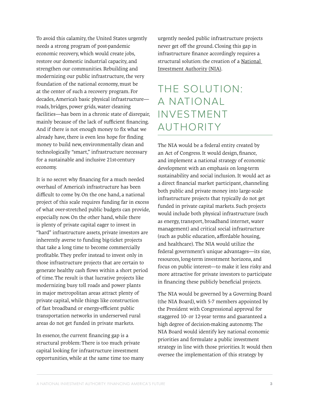To avoid this calamity, the United States urgently needs a strong program of post-pandemic economic recovery, which would create jobs, restore our domestic industrial capacity, and strengthen our communities. Rebuilding and modernizing our public infrastructure, the very foundation of the national economy, must be at the center of such a recovery program. For decades, America's basic physical infrastructure roads, bridges, power grids, water cleaning facilities—has been in a chronic state of disrepair, mainly because of the lack of sufficient financing. And if there is not enough money to fix what we already have, there is even less hope for finding money to build new, environmentally clean and technologically "smart," infrastructure necessary for a sustainable and inclusive 21st-century economy.

It is no secret why financing for a much needed overhaul of America's infrastructure has been difficult to come by. On the one hand, a national project of this scale requires funding far in excess of what over-stretched public budgets can provide, especially now. On the other hand, while there is plenty of private capital eager to invest in "hard" infrastructure assets, private investors are inherently averse to funding big-ticket projects that take a long time to become commercially profitable. They prefer instead to invest only in those infrastructure projects that are certain to generate healthy cash flows within a short period of time. The result is that lucrative projects like modernizing busy toll roads and power plants in major metropolitan areas attract plenty of private capital, while things like construction of fast broadband or energy-efficient public transportation networks in underserved rural areas do not get funded in private markets.

In essence, the current financing gap is a structural problem: There is too much private capital looking for infrastructure investment opportunities, while at the same time too many urgently needed public infrastructure projects never get off the ground. Closing this gap in infrastructure finance accordingly requires a structural solution: the creation of [a National](https://papers.ssrn.com/sol3/papers.cfm?abstract_id=3566462)  [Investment Authority](https://papers.ssrn.com/sol3/papers.cfm?abstract_id=3566462) ([NIA](https://papers.ssrn.com/sol3/papers.cfm?abstract_id=3125533)).

# THE SOLUTION: A NATIONAL INVESTMENT AUTHORITY

The NIA would be a federal entity created by an Act of Congress. It would design, finance, and implement a national strategy of economic development with an emphasis on long-term sustainability and social inclusion. It would act as a direct financial market participant, channeling both public and private money into large-scale infrastructure projects that typically do not get funded in private capital markets. Such projects would include both physical infrastructure (such as energy, transport, broadband internet, water management) and critical social infrastructure (such as public education, affordable housing, and healthcare). The NIA would utilize the federal government's unique advantages—its size, resources, long-term investment horizons, and focus on public interest—to make it less risky and more attractive for private investors to participate in financing these publicly beneficial projects.

The NIA would be governed by a Governing Board (the NIA Board), with 5-7 members appointed by the President with Congressional approval for staggered 10- or 12-year terms and guaranteed a high degree of decision-making autonomy. The NIA Board would identify key national economic priorities and formulate a public investment strategy in line with those priorities. It would then oversee the implementation of this strategy by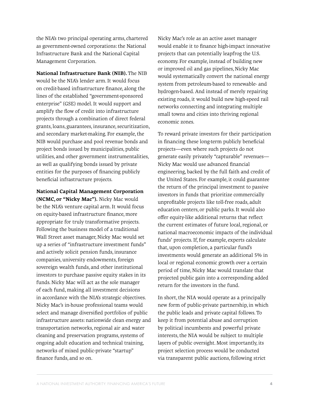the NIA's two principal operating arms, chartered as government-owned corporations: the National Infrastructure Bank and the National Capital Management Corporation.

**National Infrastructure Bank (NIB).** The NIB

would be the NIA's lender arm. It would focus on credit-based infrastructure finance, along the lines of the established "government-sponsored enterprise" (GSE) model. It would support and amplify the flow of credit into infrastructure projects through a combination of direct federal grants, loans, guarantees, insurance, securitization, and secondary market-making. For example, the NIB would purchase and pool revenue bonds and project bonds issued by municipalities, public utilities, and other government instrumentalities, as well as qualifying bonds issued by private entities for the purposes of financing publicly beneficial infrastructure projects.

**National Capital Management Corporation** 

**(NCMC, or "Nicky Mac").** Nicky Mac would be the NIA's venture capital arm. It would focus on equity-based infrastructure finance, more appropriate for truly transformative projects. Following the business model of a traditional Wall Street asset manager, Nicky Mac would set up a series of "infrastructure investment funds" and actively solicit pension funds, insurance companies, university endowments, foreign sovereign wealth funds, and other institutional investors to purchase passive equity stakes in its funds. Nicky Mac will act as the sole manager of each fund, making all investment decisions in accordance with the NIA's strategic objectives. Nicky Mac's in-house professional teams would select and manage diversified portfolios of public infrastructure assets: nationwide clean energy and transportation networks, regional air and water cleaning and preservation programs, systems of ongoing adult education and technical training, networks of mixed public-private "startup" finance funds, and so on.

Nicky Mac's role as an active asset manager would enable it to finance high-impact innovative projects that can potentially leapfrog the U.S. economy. For example, instead of building new or improved oil and gas pipelines, Nicky Mac would systematically convert the national energy system from petroleum-based to renewable- and hydrogen-based. And instead of merely repairing existing roads, it would build new high-speed rail networks connecting and integrating multiple small towns and cities into thriving regional economic zones.

To reward private investors for their participation in financing these long-term publicly beneficial projects—even where such projects do not generate easily privately "capturable" revenues— Nicky Mac would use advanced financial engineering, backed by the full faith and credit of the United States. For example, it could guarantee the return of the principal investment to passive investors in funds that prioritize commercially unprofitable projects like toll-free roads, adult education centers, or public parks. It would also offer equity-like additional returns that reflect the current estimates of future local, regional, or national macroeconomic impacts of the individual funds' projects. If, for example, experts calculate that, upon completion, a particular fund's investments would generate an additional 5% in local or regional economic growth over a certain period of time, Nicky Mac would translate that projected public gain into a corresponding added return for the investors in the fund.

In short, the NIA would operate as a principally new form of public-private partnership, in which the public leads and private capital follows. To keep it from potential abuse and corruption by political incumbents and powerful private interests, the NIA would be subject to multiple layers of public oversight. Most importantly, its project selection process would be conducted via transparent public auctions, following strict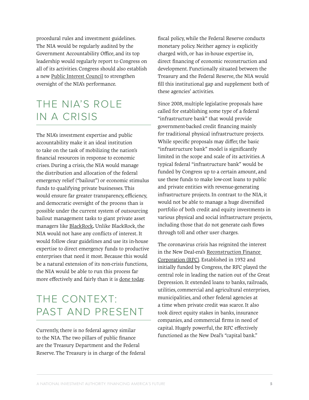procedural rules and investment guidelines. The NIA would be regularly audited by the Government Accountability Office, and its top leadership would regularly report to Congress on all of its activities. Congress should also establish a [new](https://papers.ssrn.com/sol3/papers.cfm?abstract_id=3566462) [Public Interest Council](https://papers.ssrn.com/sol3/papers.cfm?abstract_id=1924546) to strengthen oversight of the NIA's performance.

## THE NIA'S ROLE IN A CRISIS

The NIA's investment expertise and public accountability make it an ideal institution to take on the task of mobilizing the nation's financial resources in response to economic crises. During a crisis, the NIA would manage the distribution and allocation of the federal emergency relief ("bailout") or economic stimulus funds to qualifying private businesses. This would ensure far greater transparency, efficiency, and democratic oversight of the process than is possible under the current system of outsourcing bailout management tasks to giant private asset managers like [BlackRock](https://www.forbes.com/sites/pedrodacosta/2020/04/20/a-glaring-new-conflict-of-interest-undermines-public-trust-in-federal-reserve/#1d705cc3135d)**.** Unlike BlackRock, the NIA would not have any conflicts of interest. It would follow clear guidelines and use its in-house expertise to direct emergency funds to productive enterprises that need it most. Because this would be a natural extension of its non-crisis functions, the NIA would be able to run this process far more effectively and fairly than it is [done today.](https://www.nytimes.com/2020/04/16/opinion/coronavirus-oversight-congress-trillions.html)

### THE CONTEXT: PAST AND PRESENT

Currently, there is no federal agency similar to the NIA. The two pillars of public finance are the Treasury Department and the Federal Reserve. The Treasury is in charge of the federal fiscal policy, while the Federal Reserve conducts monetary policy. Neither agency is explicitly charged with, or has in-house expertise in, direct financing of economic reconstruction and development. Functionally situated between the Treasury and the Federal Reserve, the NIA would fill this institutional gap and supplement both of these agencies' activities.

Since 2008, multiple legislative proposals have called for establishing some type of a federal "infrastructure bank" that would provide government-backed credit financing mainly for traditional physical infrastructure projects. While specific proposals may differ, the basic "infrastructure bank" model is significantly limited in the scope and scale of its activities. A typical federal "infrastructure bank" would be funded by Congress up to a certain amount, and use these funds to make low-cost loans to public and private entities with revenue-generating infrastructure projects. In contrast to the NIA, it would not be able to manage a huge diversified portfolio of both credit and equity investments in various physical and social infrastructure projects, including those that do not generate cash flows through toll and other user charges.

The coronavirus crisis has reignited the interest in the New Deal-era's[Reconstruction Finance](https://eh.net/encyclopedia/reconstruction-finance-corporation/)  [Corporation](https://eh.net/encyclopedia/reconstruction-finance-corporation/) (RFC). Established in 1932 and initially funded by Congress, the RFC played the central role in leading the nation out of the Great Depression. It extended loans to banks, railroads, utilities, commercial and agricultural enterprises, municipalities, and other federal agencies at a time when private credit was scarce. It also took direct equity stakes in banks, insurance companies, and commercial firms in need of capital. Hugely powerful, the RFC effectively functioned as the New Deal's "capital bank."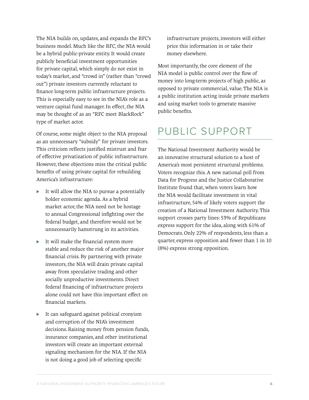The NIA builds on, updates, and expands the RFC's business model. Much like the RFC, the NIA would be a hybrid public-private entity. It would create publicly beneficial investment opportunities for private capital, which simply do not exist in today's market, and "crowd in" (rather than "crowd out") private investors currently reluctant to finance long-term public infrastructure projects. This is especially easy to see in the NIA's role as a venture capital fund manager. In effect, the NIA may be thought of as an "RFC meet BlackRock" type of market actor.

Of course, some might object to the NIA proposal as an unnecessary "subsidy" for private investors. This criticism reflects justified mistrust and fear of effective privatization of public infrastructure. However, these objections miss the critical public benefits of using private capital for rebuilding America's infrastructure:

- It will allow the NIA to pursue a potentially bolder economic agenda. As a hybrid market actor, the NIA need not be hostage to annual Congressional infighting over the federal budget, and therefore would not be unnecessarily hamstrung in its activities.
- ► It will make the financial system more stable and reduce the risk of another major financial crisis. By partnering with private investors, the NIA will drain private capital away from speculative trading and other socially unproductive investments. Direct federal financing of infrastructure projects alone could not have this important effect on financial markets.
- ► It can safeguard against political cronyism and corruption of the NIA's investment decisions. Raising money from pension funds, insurance companies, and other institutional investors will create an important external signaling mechanism for the NIA. If the NIA is not doing a good job of selecting specific

infrastructure projects, investors will either price this information in or take their money elsewhere.

Most importantly, the core element of the NIA model is public control over the flow of money into long-term projects of high public, as opposed to private commercial, value. The NIA is a public institution acting inside private markets and using market tools to generate massive public benefits.

### PUBLIC SUPPORT

The National Investment Authority would be an innovative structural solution to a host of America's most persistent structural problems. Voters recognize this. A new national poll from Data for Progress and the Justice Collaborative Institute found that, when voters learn how the NIA would facilitate investment in vital infrastructure, 54% of likely voters support the creation of a National Investment Authority. This support crosses party lines: 53% of Republicans express support for the idea, along with 61% of Democrats. Only 22% of respondents, less than a quarter, express opposition and fewer than 1 in 10 (8%) express strong opposition.